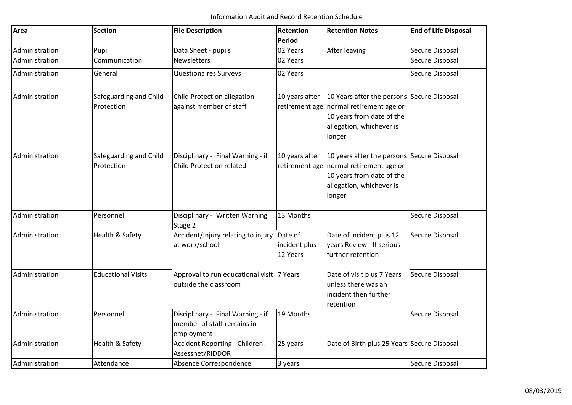| Area           | <b>Section</b>                       | <b>File Description</b>                                                       | <b>Retention</b>                     | <b>Retention Notes</b>                                                                                                                                   | <b>End of Life Disposal</b> |
|----------------|--------------------------------------|-------------------------------------------------------------------------------|--------------------------------------|----------------------------------------------------------------------------------------------------------------------------------------------------------|-----------------------------|
|                |                                      |                                                                               | Period                               |                                                                                                                                                          |                             |
| Administration | Pupil                                | Data Sheet - pupils                                                           | 02 Years                             | <b>After leaving</b>                                                                                                                                     | Secure Disposal             |
| Administration | Communication                        | <b>Newsletters</b>                                                            | 02 Years                             |                                                                                                                                                          | Secure Disposal             |
| Administration | General                              | <b>Questionaires Surveys</b>                                                  | 02 Years                             |                                                                                                                                                          | Secure Disposal             |
| Administration | Safeguarding and Child<br>Protection | Child Protection allegation<br>against member of staff                        | 10 years after                       | 10 Years after the persons Secure Disposal<br>retirement age normal retirement age or<br>10 years from date of the<br>allegation, whichever is<br>longer |                             |
| Administration | Safeguarding and Child<br>Protection | Disciplinary - Final Warning - if<br><b>Child Protection related</b>          | 10 years after<br>retirement age     | 10 years after the persons Secure Disposal<br>normal retirement age or<br>10 years from date of the<br>allegation, whichever is<br>longer                |                             |
| Administration | Personnel                            | Disciplinary - Written Warning<br>Stage 2                                     | 13 Months                            |                                                                                                                                                          | Secure Disposal             |
| Administration | <b>Health &amp; Safety</b>           | Accident/Injury relating to injury<br>at work/school                          | Date of<br>incident plus<br>12 Years | Date of incident plus 12<br>years Review - If serious<br>further retention                                                                               | Secure Disposal             |
| Administration | <b>Educational Visits</b>            | Approval to run educational visit 7 Years<br>outside the classroom            |                                      | Date of visit plus 7 Years<br>unless there was an<br>incident then further<br>retention                                                                  | Secure Disposal             |
| Administration | Personnel                            | Disciplinary - Final Warning - if<br>member of staff remains in<br>employment | 19 Months                            |                                                                                                                                                          | Secure Disposal             |
| Administration | Health & Safety                      | Accident Reporting - Children.<br>Assessnet/RIDDOR                            | 25 years                             | Date of Birth plus 25 Years Secure Disposal                                                                                                              |                             |
| Administration | Attendance                           | Absence Correspondence                                                        | 3 years                              |                                                                                                                                                          | Secure Disposal             |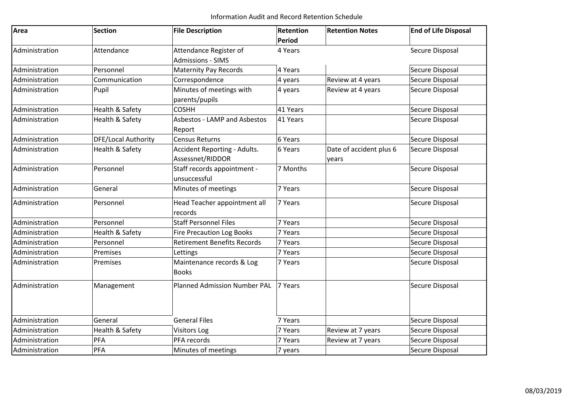| Area           | <b>Section</b>      | <b>File Description</b>                            | Retention<br><b>Period</b> | <b>Retention Notes</b>           | <b>End of Life Disposal</b> |
|----------------|---------------------|----------------------------------------------------|----------------------------|----------------------------------|-----------------------------|
| Administration | Attendance          | Attendance Register of<br><b>Admissions - SIMS</b> | 4 Years                    |                                  | Secure Disposal             |
| Administration | Personnel           | <b>Maternity Pay Records</b>                       | 4 Years                    |                                  | Secure Disposal             |
| Administration | Communication       | Correspondence                                     | 4 years                    | Review at 4 years                | Secure Disposal             |
| Administration | Pupil               | Minutes of meetings with<br>parents/pupils         | 4 years                    | Review at 4 years                | Secure Disposal             |
| Administration | Health & Safety     | <b>COSHH</b>                                       | 41 Years                   |                                  | Secure Disposal             |
| Administration | Health & Safety     | Asbestos - LAMP and Asbestos<br>Report             | 41 Years                   |                                  | Secure Disposal             |
| Administration | DFE/Local Authority | <b>Census Returns</b>                              | 6 Years                    |                                  | Secure Disposal             |
| Administration | Health & Safety     | Accident Reporting - Adults.<br>Assessnet/RIDDOR   | 6 Years                    | Date of accident plus 6<br>years | Secure Disposal             |
| Administration | Personnel           | Staff records appointment -<br>unsuccessful        | 7 Months                   |                                  | Secure Disposal             |
| Administration | General             | Minutes of meetings                                | 7 Years                    |                                  | Secure Disposal             |
| Administration | Personnel           | Head Teacher appointment all<br>records            | 7 Years                    |                                  | Secure Disposal             |
| Administration | Personnel           | <b>Staff Personnel Files</b>                       | 7 Years                    |                                  | Secure Disposal             |
| Administration | Health & Safety     | <b>Fire Precaution Log Books</b>                   | 7 Years                    |                                  | Secure Disposal             |
| Administration | Personnel           | <b>Retirement Benefits Records</b>                 | 7 Years                    |                                  | Secure Disposal             |
| Administration | Premises            | Lettings                                           | 7 Years                    |                                  | Secure Disposal             |
| Administration | Premises            | Maintenance records & Log<br><b>Books</b>          | 7 Years                    |                                  | Secure Disposal             |
| Administration | Management          | <b>Planned Admission Number PAL</b>                | 7 Years                    |                                  | Secure Disposal             |
| Administration | General             | <b>General Files</b>                               | 7 Years                    |                                  | Secure Disposal             |
| Administration | Health & Safety     | <b>Visitors Log</b>                                | 7 Years                    | Review at 7 years                | Secure Disposal             |
| Administration | PFA                 | PFA records                                        | 7 Years                    | Review at 7 years                | Secure Disposal             |
| Administration | PFA                 | Minutes of meetings                                | 7 years                    |                                  | Secure Disposal             |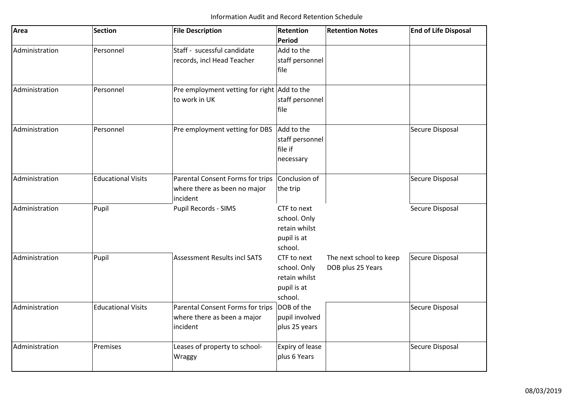| Area           | <b>Section</b>            | <b>File Description</b>                     | <b>Retention</b> | <b>Retention Notes</b>  | <b>End of Life Disposal</b> |
|----------------|---------------------------|---------------------------------------------|------------------|-------------------------|-----------------------------|
|                |                           |                                             | Period           |                         |                             |
| Administration | Personnel                 | Staff - sucessful candidate                 | Add to the       |                         |                             |
|                |                           | records, incl Head Teacher                  | staff personnel  |                         |                             |
|                |                           |                                             | file             |                         |                             |
| Administration | Personnel                 | Pre employment vetting for right Add to the |                  |                         |                             |
|                |                           | to work in UK                               | staff personnel  |                         |                             |
|                |                           |                                             | file             |                         |                             |
| Administration | Personnel                 | Pre employment vetting for DBS              | Add to the       |                         | Secure Disposal             |
|                |                           |                                             | staff personnel  |                         |                             |
|                |                           |                                             | file if          |                         |                             |
|                |                           |                                             | necessary        |                         |                             |
| Administration | <b>Educational Visits</b> | Parental Consent Forms for trips            | Conclusion of    |                         | Secure Disposal             |
|                |                           | where there as been no major                | the trip         |                         |                             |
|                |                           | incident                                    |                  |                         |                             |
| Administration | Pupil                     | Pupil Records - SIMS                        | CTF to next      |                         | Secure Disposal             |
|                |                           |                                             | school. Only     |                         |                             |
|                |                           |                                             | retain whilst    |                         |                             |
|                |                           |                                             | pupil is at      |                         |                             |
|                |                           |                                             | school.          |                         |                             |
| Administration | Pupil                     | <b>Assessment Results incl SATS</b>         | CTF to next      | The next school to keep | Secure Disposal             |
|                |                           |                                             | school. Only     | DOB plus 25 Years       |                             |
|                |                           |                                             | retain whilst    |                         |                             |
|                |                           |                                             | pupil is at      |                         |                             |
|                |                           |                                             | school.          |                         |                             |
| Administration | <b>Educational Visits</b> | Parental Consent Forms for trips            | DOB of the       |                         | Secure Disposal             |
|                |                           | where there as been a major                 | pupil involved   |                         |                             |
|                |                           | incident                                    | plus 25 years    |                         |                             |
| Administration | Premises                  | Leases of property to school-               | Expiry of lease  |                         | Secure Disposal             |
|                |                           | Wraggy                                      | plus 6 Years     |                         |                             |
|                |                           |                                             |                  |                         |                             |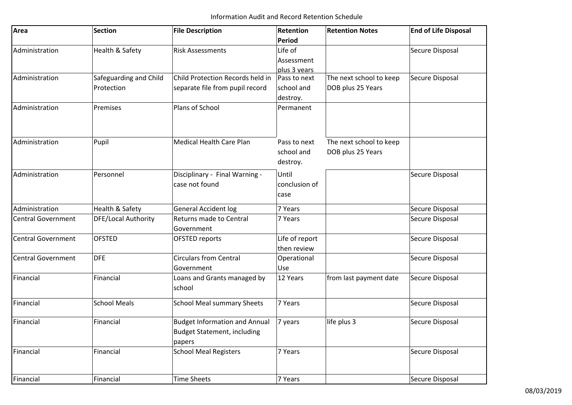| Area                      | <b>Section</b>         | <b>File Description</b>                      | Retention                     | <b>Retention Notes</b>  | <b>End of Life Disposal</b> |
|---------------------------|------------------------|----------------------------------------------|-------------------------------|-------------------------|-----------------------------|
|                           |                        |                                              | <b>Period</b>                 |                         |                             |
| Administration            | Health & Safety        | <b>Risk Assessments</b>                      | Life of                       |                         | Secure Disposal             |
|                           |                        |                                              | Assessment                    |                         |                             |
|                           |                        |                                              | plus 3 years                  |                         |                             |
| Administration            | Safeguarding and Child | Child Protection Records held in             | Pass to next                  | The next school to keep | Secure Disposal             |
|                           | Protection             | separate file from pupil record              | school and<br>destroy.        | DOB plus 25 Years       |                             |
| Administration            | Premises               | Plans of School                              | Permanent                     |                         |                             |
| Administration            | Pupil                  | <b>Medical Health Care Plan</b>              | Pass to next                  | The next school to keep |                             |
|                           |                        |                                              | school and<br>destroy.        | DOB plus 25 Years       |                             |
| Administration            | Personnel              | Disciplinary - Final Warning -               | Until                         |                         | Secure Disposal             |
|                           |                        | case not found                               | conclusion of                 |                         |                             |
|                           |                        |                                              | case                          |                         |                             |
| Administration            | Health & Safety        | <b>General Accident log</b>                  | 7 Years                       |                         | Secure Disposal             |
| <b>Central Government</b> | DFE/Local Authority    | Returns made to Central<br>Government        | 7 Years                       |                         | Secure Disposal             |
| <b>Central Government</b> | <b>OFSTED</b>          | OFSTED reports                               | Life of report<br>then review |                         | Secure Disposal             |
| <b>Central Government</b> | <b>DFE</b>             | <b>Circulars from Central</b>                | Operational                   |                         | Secure Disposal             |
|                           |                        | Government                                   | Use                           |                         |                             |
| Financial                 | Financial              | Loans and Grants managed by<br>school        | 12 Years                      | from last payment date  | Secure Disposal             |
| Financial                 | <b>School Meals</b>    | <b>School Meal summary Sheets</b>            | 7 Years                       |                         | Secure Disposal             |
| Financial                 | Financial              | <b>Budget Information and Annual</b>         | 7 years                       | life plus 3             | Secure Disposal             |
|                           |                        | <b>Budget Statement, including</b><br>papers |                               |                         |                             |
| Financial                 | Financial              | <b>School Meal Registers</b>                 | 7 Years                       |                         | Secure Disposal             |
| Financial                 | Financial              | <b>Time Sheets</b>                           | 7 Years                       |                         | Secure Disposal             |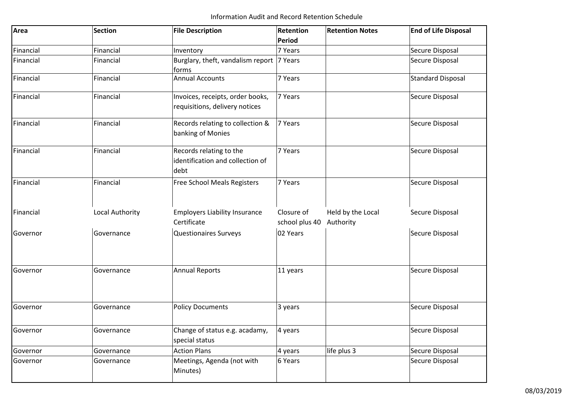| Area      | <b>Section</b>  | <b>File Description</b>                                             | Retention<br><b>Period</b>   | <b>Retention Notes</b>         | <b>End of Life Disposal</b> |
|-----------|-----------------|---------------------------------------------------------------------|------------------------------|--------------------------------|-----------------------------|
| Financial | Financial       | Inventory                                                           | 7 Years                      |                                | Secure Disposal             |
| Financial | Financial       | Burglary, theft, vandalism report 7 Years<br>forms                  |                              |                                | Secure Disposal             |
| Financial | Financial       | <b>Annual Accounts</b>                                              | 7 Years                      |                                | <b>Standard Disposal</b>    |
| Financial | Financial       | Invoices, receipts, order books,<br>requisitions, delivery notices  | 7 Years                      |                                | Secure Disposal             |
| Financial | Financial       | Records relating to collection &<br>banking of Monies               | 7 Years                      |                                | Secure Disposal             |
| Financial | Financial       | Records relating to the<br>identification and collection of<br>debt | 7 Years                      |                                | Secure Disposal             |
| Financial | Financial       | <b>Free School Meals Registers</b>                                  | 7 Years                      |                                | Secure Disposal             |
| Financial | Local Authority | <b>Employers Liability Insurance</b><br>Certificate                 | Closure of<br>school plus 40 | Held by the Local<br>Authority | Secure Disposal             |
| Governor  | Governance      | <b>Questionaires Surveys</b>                                        | 02 Years                     |                                | Secure Disposal             |
| Governor  | Governance      | <b>Annual Reports</b>                                               | 11 years                     |                                | Secure Disposal             |
| Governor  | Governance      | <b>Policy Documents</b>                                             | 3 years                      |                                | Secure Disposal             |
| Governor  | Governance      | Change of status e.g. acadamy,<br>special status                    | 4 years                      |                                | Secure Disposal             |
| Governor  | Governance      | <b>Action Plans</b>                                                 | 4 years                      | life plus 3                    | Secure Disposal             |
| Governor  | Governance      | Meetings, Agenda (not with<br>Minutes)                              | 6 Years                      |                                | Secure Disposal             |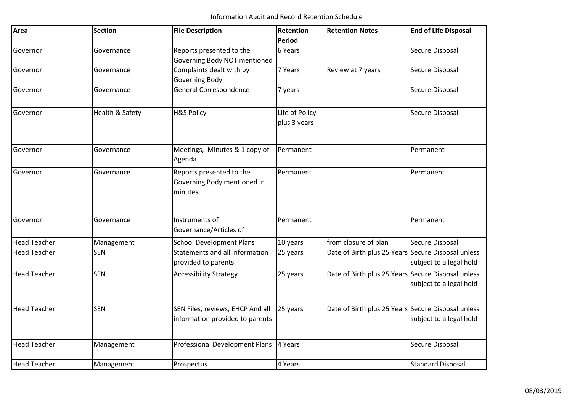| Area                | <b>Section</b>  | <b>File Description</b>                                             | <b>Retention</b><br>Period | <b>Retention Notes</b>                             | <b>End of Life Disposal</b> |
|---------------------|-----------------|---------------------------------------------------------------------|----------------------------|----------------------------------------------------|-----------------------------|
| Governor            | Governance      | Reports presented to the                                            | 6 Years                    |                                                    | Secure Disposal             |
|                     |                 | Governing Body NOT mentioned                                        |                            |                                                    |                             |
| Governor            | Governance      | Complaints dealt with by                                            | 7 Years                    | Review at 7 years                                  | Secure Disposal             |
|                     |                 | Governing Body                                                      |                            |                                                    |                             |
| Governor            | Governance      | <b>General Correspondence</b>                                       | 7 years                    |                                                    | Secure Disposal             |
| Governor            | Health & Safety | <b>H&amp;S Policy</b>                                               | Life of Policy             |                                                    | Secure Disposal             |
|                     |                 |                                                                     | plus 3 years               |                                                    |                             |
| Governor            | Governance      | Meetings, Minutes & 1 copy of<br>Agenda                             | Permanent                  |                                                    | Permanent                   |
| Governor            | Governance      | Reports presented to the<br>Governing Body mentioned in<br>minutes  | Permanent                  |                                                    | Permanent                   |
| Governor            | Governance      | Instruments of<br>Governance/Articles of                            | Permanent                  |                                                    | Permanent                   |
| <b>Head Teacher</b> | Management      | <b>School Development Plans</b>                                     | 10 years                   | from closure of plan                               | Secure Disposal             |
| <b>Head Teacher</b> | <b>SEN</b>      | Statements and all information<br>provided to parents               | 25 years                   | Date of Birth plus 25 Years Secure Disposal unless | subject to a legal hold     |
| <b>Head Teacher</b> | <b>SEN</b>      | <b>Accessibility Strategy</b>                                       | 25 years                   | Date of Birth plus 25 Years Secure Disposal unless | subject to a legal hold     |
| <b>Head Teacher</b> | <b>SEN</b>      | SEN Files, reviews, EHCP And all<br>information provided to parents | 25 years                   | Date of Birth plus 25 Years Secure Disposal unless | subject to a legal hold     |
| <b>Head Teacher</b> | Management      | Professional Development Plans                                      | 4 Years                    |                                                    | Secure Disposal             |
| <b>Head Teacher</b> | Management      | Prospectus                                                          | 4 Years                    |                                                    | <b>Standard Disposal</b>    |